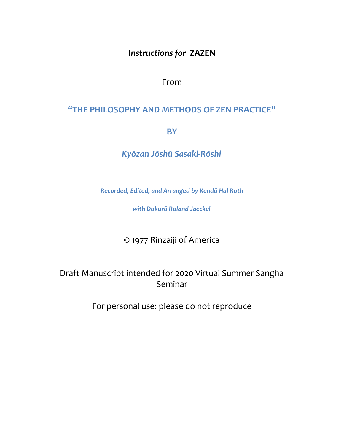# *Instructions for* **ZAZEN**

From

## **"THE PHILOSOPHY AND METHODS OF ZEN PRACTICE"**

**BY**

*Kyōzan Jōshū Sasaki-Rōshi*

*Recorded, Edited, and Arranged by Kendō Hal Roth* 

*with Dokurō Roland Jaeckel*

© 1977 Rinzaiji of America

Draft Manuscript intended for 2020 Virtual Summer Sangha Seminar

For personal use: please do not reproduce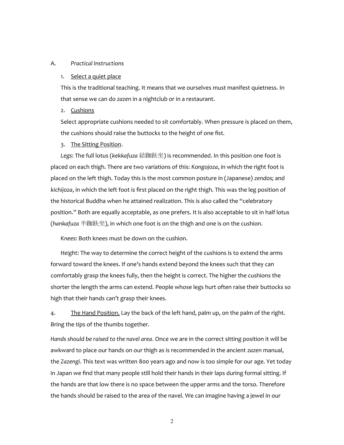## A. *Practical Instructions*

#### 1. Select a quiet place

This is the traditional teaching. It means that we ourselves must manifest quietness. In that sense we can do *zazen* in a nightclub or in a restaurant.

## 2. Cushions

Select appropriate cushions needed to sit comfortably. When pressure is placed on them, the cushions should raise the buttocks to the height of one fist.

#### 3. The Sitting Position.

*Legs*: The full lotus (*kekkafuza* 結跏趺坐) is recommended. In this position one foot is placed on each thigh. There are two variations of this: *Kongojoza*, in which the right foot is placed on the left thigh. Today this is the most common posture in (Japanese) *zendos;* and *kichijoza*, in which the left foot is first placed on the right thigh. This was the leg position of the historical Buddha when he attained realization. This is also called the "celebratory position." Both are equally acceptable, as one prefers. It is also acceptable to sit in half lotus (*hankafuza* 半跏趺坐), in which one foot is on the thigh and one is on the cushion.

*Knees*: Both knees must be down on the cushion.

*Height*: The way to determine the correct height of the cushions is to extend the arms forward toward the knees. If one's hands extend beyond the knees such that they can comfortably grasp the knees fully, then the height is correct. The higher the cushions the shorter the length the arms can extend. People whose legs hurt often raise their buttocks so high that their hands can't grasp their knees.

4. The Hand Position. Lay the back of the left hand, palm up, on the palm of the right. Bring the tips of the thumbs together.

*Hands should be raised to the navel area*. Once we are in the correct sitting position it will be awkward to place our hands on our thigh as is recommended in the ancient *zazen* manual, the *Zazengi*. This text was written 800 years ago and now is too simple for our age. Yet today in Japan we find that many people still hold their hands in their laps during formal sitting. If the hands are that low there is no space between the upper arms and the torso. Therefore the hands should be raised to the area of the navel. We can imagine having a jewel in our

2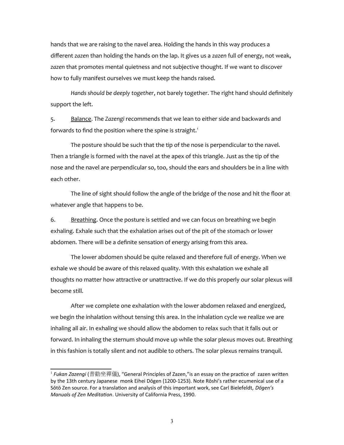hands that we are raising to the navel area. Holding the hands in this way produces a different *zazen* than holding the hands on the lap. It gives us a *zazen* full of energy, not weak, *zazen* that promotes mental quietness and not subjective thought. If we want to discover how to fully manifest ourselves we must keep the hands raised.

*Hands should be deeply together*, not barely together. The right hand should definitely support the left.

5. Balance. The *Zazengi* recommends that we lean to either side and backwards and forwards to find the position where the spine is straight.<sup>[1](#page-2-0)</sup>

The posture should be such that the tip of the nose is perpendicular to the navel. Then a triangle is formed with the navel at the apex of this triangle. Just as the tip of the nose and the navel are perpendicular so, too, should the ears and shoulders be in a line with each other.

The line of sight should follow the angle of the bridge of the nose and hit the floor at whatever angle that happens to be.

6. Breathing. Once the posture is settled and we can focus on breathing we begin exhaling. Exhale such that the exhalation arises out of the pit of the stomach or lower abdomen. There will be a definite sensation of energy arising from this area.

The lower abdomen should be quite relaxed and therefore full of energy. When we exhale we should be aware of this relaxed quality. With this exhalation we exhale all thoughts no matter how attractive or unattractive. If we do this properly our solar plexus will become still.

After we complete one exhalation with the lower abdomen relaxed and energized, we begin the inhalation without tensing this area. In the inhalation cycle we realize we are inhaling all air. In exhaling we should allow the abdomen to relax such that it falls out or forward. In inhaling the sternum should move up while the solar plexus moves out. Breathing in this fashion is totally silent and not audible to others. The solar plexus remains tranquil.

<span id="page-2-0"></span><sup>&</sup>lt;sup>1</sup> *Fukan Zazengi* (普勸坐禪儀), "General Principles of Zazen,"is an essay on the practice of  $\,$ zazen written by the 13th century Japanese monk Eihei Dōgen (1200-1253). Note Rōshi's rather ecumenical use of a Sōtō Zen source. For a translation and analysis of this important work, see Carl Bielefeldt, *Dōgen's Manuals of Zen Meditation*. University of California Press, 1990.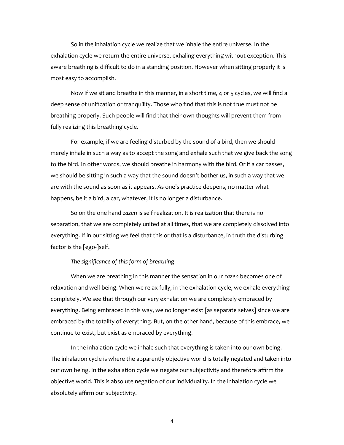So in the inhalation cycle we realize that we inhale the entire universe. In the exhalation cycle we return the entire universe, exhaling everything without exception. This aware breathing is difficult to do in a standing position. However when sitting properly it is most easy to accomplish.

Now if we sit and breathe in this manner, in a short time, 4 or 5 cycles, we will find a deep sense of unification or tranquility. Those who find that this is not true must not be breathing properly. Such people will find that their own thoughts will prevent them from fully realizing this breathing cycle.

For example, if we are feeling disturbed by the sound of a bird, then we should merely inhale in such a way as to accept the song and exhale such that we give back the song to the bird. In other words, we should breathe in harmony with the bird. Or if a car passes, we should be sitting in such a way that the sound doesn't bother us, in such a way that we are with the sound as soon as it appears. As one's practice deepens, no matter what happens, be it a bird, a car, whatever, it is no longer a disturbance.

So on the one hand *zazen* is self realization. It is realization that there is no separation, that we are completely united at all times, that we are completely dissolved into everything. If in our sitting we feel that this or that is a disturbance, in truth the disturbing factor is the [ego-]self.

## *The significance of this form of breathing*

When we are breathing in this manner the sensation in our *zazen* becomes one of relaxation and well-being. When we relax fully, in the exhalation cycle, we exhale everything completely. We see that through our very exhalation we are completely embraced by everything. Being embraced in this way, we no longer exist [as separate selves] since we are embraced by the totality of everything. But, on the other hand, because of this embrace, we continue to exist, but exist as embraced by everything.

In the inhalation cycle we inhale such that everything is taken into our own being. The inhalation cycle is where the apparently objective world is totally negated and taken into our own being. In the exhalation cycle we negate our subjectivity and therefore affirm the objective world. This is absolute negation of our individuality. In the inhalation cycle we absolutely affirm our subjectivity.

4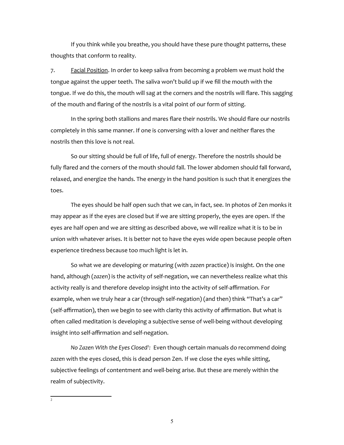If you think while you breathe, you should have these pure thought patterns, these thoughts that conform to reality.

7. Facial Position. In order to keep saliva from becoming a problem we must hold the tongue against the upper teeth. The saliva won't build up if we fill the mouth with the tongue. If we do this, the mouth will sag at the corners and the nostrils will flare. This sagging of the mouth and flaring of the nostrils is a vital point of our form of sitting.

In the spring both stallions and mares flare their nostrils. We should flare our nostrils completely in this same manner. If one is conversing with a lover and neither flares the nostrils then this love is not real.

So our sitting should be full of life, full of energy. Therefore the nostrils should be fully flared and the corners of the mouth should fall. The lower abdomen should fall forward, relaxed, and energize the hands. The energy in the hand position is such that it energizes the toes.

The eyes should be half open such that we can, in fact, see. In photos of Zen monks it may appear as if the eyes are closed but if we are sitting properly, the eyes are open. If the eyes are half open and we are sitting as described above, we will realize what it is to be in union with whatever arises. It is better not to have the eyes wide open because people often experience tiredness because too much light is let in.

So what we are developing or maturing (with *zazen* practice) is insight. On the one hand, although (*zazen*) is the activity of self-negation, we can nevertheless realize what this activity really is and therefore develop insight into the activity of self-affirmation. For example, when we truly hear a car (through self-negation) (and then) think "That's a car" (self-affirmation), then we begin to see with clarity this activity of affirmation. But what is often called meditation is developing a subjective sense of well-being without developing insight into self-affirmation and self-negation.

<span id="page-4-0"></span>*No Zazen With the Eyes Closed[2](#page-4-0) :* Even though certain manuals do recommend doing *zazen* with the eyes closed, this is dead person Zen. If we close the eyes while sitting, subjective feelings of contentment and well-being arise. But these are merely within the realm of subjectivity.